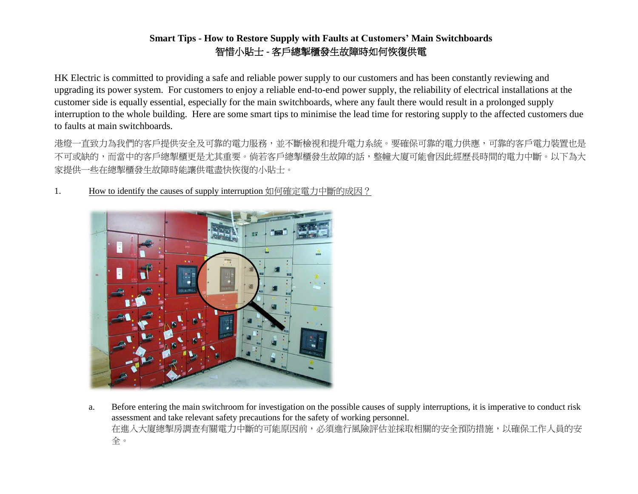## **Smart Tips - How to Restore Supply with Faults at Customers' Main Switchboards** 智惜小貼士 **-** 客戶總掣櫃發生故障時如何恢復供電

HK Electric is committed to providing a safe and reliable power supply to our customers and has been constantly reviewing and upgrading its power system. For customers to enjoy a reliable end-to-end power supply, the reliability of electrical installations at the customer side is equally essential, especially for the main switchboards, where any fault there would result in a prolonged supply interruption to the whole building. Here are some smart tips to minimise the lead time for restoring supply to the affected customers due to faults at main switchboards.

港燈一直致力為我們的客戶提供安全及可靠的電力服務,並不斷檢視和提升電力系統。要確保可靠的電力供應,可靠的客戶電力裝置也是 不可或缺的,而當中的客戶總掣櫃更是尤其重要。倘若客戶總掣櫃發生故障的話,整幢大廈可能會因此經歷長時間的電力中斷。以下為大 家提供一些在總掣櫃發生故障時能讓供電盡快恢復的小貼士。

1. How to identify the causes of supply interruption 如何確定電力中斷的成因?



a. Before entering the main switchroom for investigation on the possible causes of supply interruptions, it is imperative to conduct risk assessment and take relevant safety precautions for the safety of working personnel. 在進入大廈總掣房調查有關電力中斷的可能原因前,必須進行風險評估並採取相關的安全預防措施,以確保工作人員的安 全。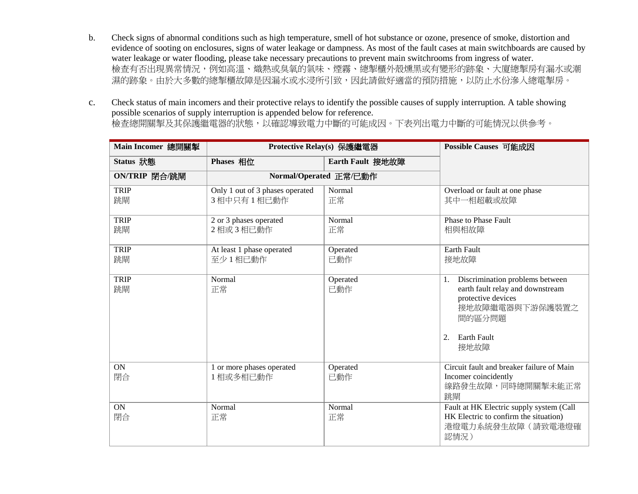- b. Check signs of abnormal conditions such as high temperature, smell of hot substance or ozone, presence of smoke, distortion and evidence of sooting on enclosures, signs of water leakage or dampness. As most of the fault cases at main switchboards are caused by water leakage or water flooding, please take necessary precautions to prevent main switchrooms from ingress of water. 檢查有否出現異常情況,例如高溫、熾熱或臭氧的氣味、煙霧、總掣櫃外殼燻黑或有變形的跡象、大廈總掣房有漏水或潮 濕的跡象。由於大多數的總掣櫃故障是因漏水或水浸所引致,因此請做好適當的預防措施,以防止水份滲入總電掣房。
- c. Check status of main incomers and their protective relays to identify the possible causes of supply interruption. A table showing possible scenarios of supply interruption is appended below for reference. 檢查總開關掣及其保護繼電器的狀態,以確認導致電力中斷的可能成因。下表列出電力中斷的可能情況以供參考。

| Main Incomer 總開關掣     | Protective Relay(s) 保護繼電器                     |                  | Possible Causes 可能成因                                                                                                                                             |
|-----------------------|-----------------------------------------------|------------------|------------------------------------------------------------------------------------------------------------------------------------------------------------------|
| Status 狀態             | Phases 相位                                     | Earth Fault 接地故障 |                                                                                                                                                                  |
| ON/TRIP 閉合/跳閘         | Normal/Operated 正常/已動作                        |                  |                                                                                                                                                                  |
| <b>TRIP</b><br>跳閘     | Only 1 out of 3 phases operated<br>3相中只有1相已動作 | Normal<br>正常     | Overload or fault at one phase<br>其中一相超載或故障                                                                                                                      |
| <b>TRIP</b><br>跳閘     | 2 or 3 phases operated<br>2相或3相已動作            | Normal<br>正常     | <b>Phase to Phase Fault</b><br>相與相故障                                                                                                                             |
| <b>TRIP</b><br>跳閘     | At least 1 phase operated<br>至少1相已動作          | Operated<br>已動作  | <b>Earth Fault</b><br>接地故障                                                                                                                                       |
| <b>TRIP</b><br>跳閘     | Normal<br>正常                                  | Operated<br>已動作  | Discrimination problems between<br>1.<br>earth fault relay and downstream<br>protective devices<br>接地故障繼電器與下游保護裝置之<br>間的區分問題<br><b>Earth Fault</b><br>2.<br>接地故障 |
| <b>ON</b><br>閉合       | 1 or more phases operated<br>1相或多相已動作         | Operated<br>已動作  | Circuit fault and breaker failure of Main<br>Incomer coincidently<br>線路發生故障,同時總開關掣未能正常<br>跳閘                                                                     |
| $\overline{ON}$<br>閉合 | Normal<br>正常                                  | Normal<br>正常     | Fault at HK Electric supply system (Call<br>HK Electric to confirm the situation)<br>港燈電力系統發生故障(請致電港燈確<br>認情況)                                                   |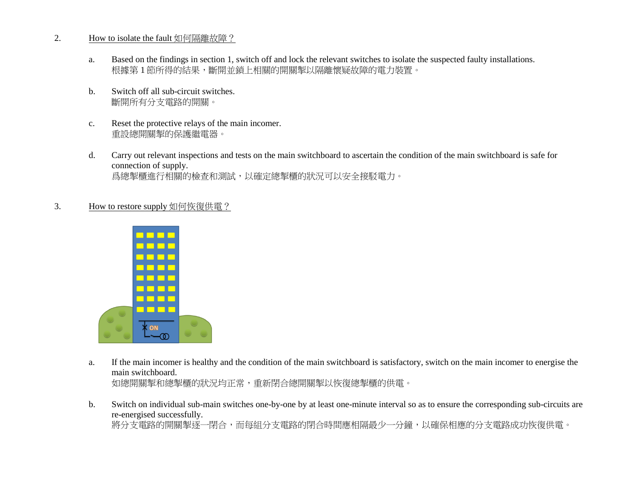## 2. How to isolate the fault 如何隔離故障?

- a. Based on the findings in section 1, switch off and lock the relevant switches to isolate the suspected faulty installations. 根據第1節所得的結果,斷開並鎖上相關的開關掣以隔離懷疑故障的電力裝置。
- b. Switch off all sub-circuit switches. 斷開所有分支電路的開關。
- c. Reset the protective relays of the main incomer. 重設總開關掣的保護繼電器。
- d. Carry out relevant inspections and tests on the main switchboard to ascertain the condition of the main switchboard is safe for connection of supply. 爲總掣櫃進行相關的檢查和測試,以確定總掣櫃的狀況可以安全接駁電力。
- 3. How to restore supply 如何恢復供電?



a. If the main incomer is healthy and the condition of the main switchboard is satisfactory, switch on the main incomer to energise the main switchboard. 如總開關掣和總掣櫃的狀況均正常,重新閉合總開關掣以恢復總掣櫃的供電。

b. Switch on individual sub-main switches one-by-one by at least one-minute interval so as to ensure the corresponding sub-circuits are re-energised successfully.

將分支電路的開關掣逐一閉合,而每組分支電路的閉合時間應相隔最少一分鐘,以確保相應的分支電路成功恢復供電。